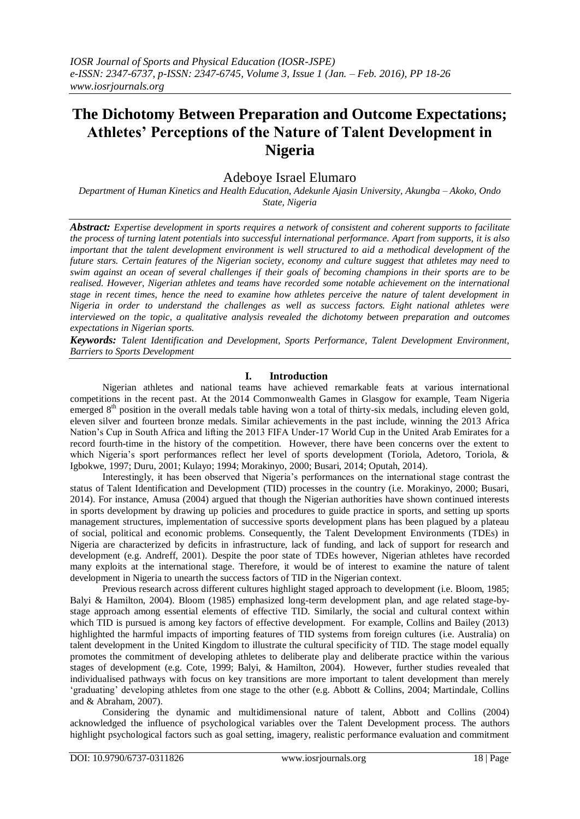# **The Dichotomy Between Preparation and Outcome Expectations; Athletes' Perceptions of the Nature of Talent Development in Nigeria**

## Adeboye Israel Elumaro

*Department of Human Kinetics and Health Education, Adekunle Ajasin University, Akungba – Akoko, Ondo State, Nigeria*

*Abstract: Expertise development in sports requires a network of consistent and coherent supports to facilitate the process of turning latent potentials into successful international performance. Apart from supports, it is also important that the talent development environment is well structured to aid a methodical development of the future stars. Certain features of the Nigerian society, economy and culture suggest that athletes may need to swim against an ocean of several challenges if their goals of becoming champions in their sports are to be realised. However, Nigerian athletes and teams have recorded some notable achievement on the international stage in recent times, hence the need to examine how athletes perceive the nature of talent development in Nigeria in order to understand the challenges as well as success factors. Eight national athletes were interviewed on the topic, a qualitative analysis revealed the dichotomy between preparation and outcomes expectations in Nigerian sports.*

*Keywords: Talent Identification and Development, Sports Performance, Talent Development Environment, Barriers to Sports Development*

## **I. Introduction**

Nigerian athletes and national teams have achieved remarkable feats at various international competitions in the recent past. At the 2014 Commonwealth Games in Glasgow for example, Team Nigeria emerged 8<sup>th</sup> position in the overall medals table having won a total of thirty-six medals, including eleven gold, eleven silver and fourteen bronze medals. Similar achievements in the past include, winning the 2013 Africa Nation's Cup in South Africa and lifting the 2013 FIFA Under-17 World Cup in the United Arab Emirates for a record fourth-time in the history of the competition. However, there have been concerns over the extent to which Nigeria's sport performances reflect her level of sports development (Toriola, Adetoro, Toriola, & Igbokwe, 1997; Duru, 2001; Kulayo; 1994; Morakinyo, 2000; Busari, 2014; Oputah, 2014).

Interestingly, it has been observed that Nigeria's performances on the international stage contrast the status of Talent Identification and Development (TID) processes in the country (i.e. Morakinyo, 2000; Busari, 2014). For instance, Amusa (2004) argued that though the Nigerian authorities have shown continued interests in sports development by drawing up policies and procedures to guide practice in sports, and setting up sports management structures, implementation of successive sports development plans has been plagued by a plateau of social, political and economic problems. Consequently, the Talent Development Environments (TDEs) in Nigeria are characterized by deficits in infrastructure, lack of funding, and lack of support for research and development (e.g. Andreff, 2001). Despite the poor state of TDEs however, Nigerian athletes have recorded many exploits at the international stage. Therefore, it would be of interest to examine the nature of talent development in Nigeria to unearth the success factors of TID in the Nigerian context.

Previous research across different cultures highlight staged approach to development (i.e. Bloom, 1985; Balyi & Hamilton, 2004). Bloom (1985) emphasized long-term development plan, and age related stage-bystage approach among essential elements of effective TID. Similarly, the social and cultural context within which TID is pursued is among key factors of effective development. For example, Collins and Bailey (2013) highlighted the harmful impacts of importing features of TID systems from foreign cultures (i.e. Australia) on talent development in the United Kingdom to illustrate the cultural specificity of TID. The stage model equally promotes the commitment of developing athletes to deliberate play and deliberate practice within the various stages of development (e.g. Cote, 1999; Balyi, & Hamilton, 2004). However, further studies revealed that individualised pathways with focus on key transitions are more important to talent development than merely 'graduating' developing athletes from one stage to the other (e.g. Abbott & Collins, 2004; Martindale, Collins and & Abraham, 2007).

Considering the dynamic and multidimensional nature of talent, Abbott and Collins (2004) acknowledged the influence of psychological variables over the Talent Development process. The authors highlight psychological factors such as goal setting, imagery, realistic performance evaluation and commitment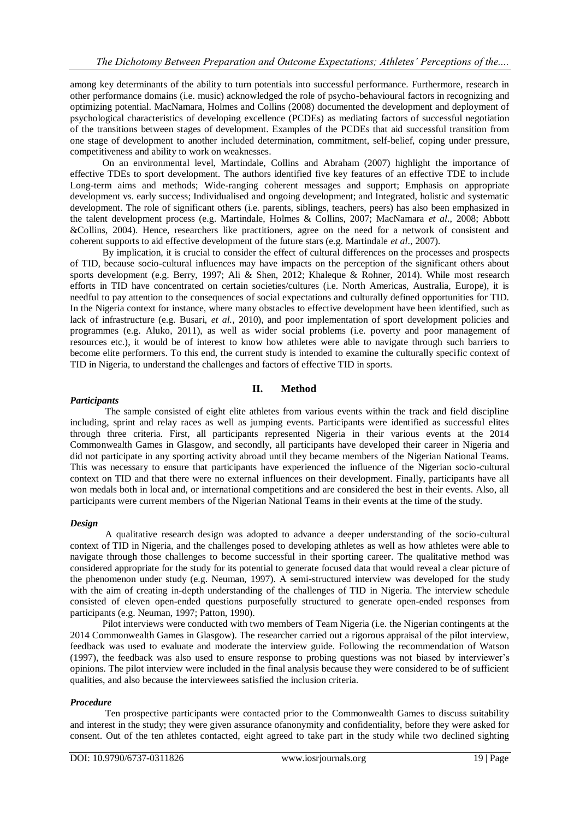among key determinants of the ability to turn potentials into successful performance. Furthermore, research in other performance domains (i.e. music) acknowledged the role of psycho-behavioural factors in recognizing and optimizing potential. MacNamara, Holmes and Collins (2008) documented the development and deployment of psychological characteristics of developing excellence (PCDEs) as mediating factors of successful negotiation of the transitions between stages of development. Examples of the PCDEs that aid successful transition from one stage of development to another included determination, commitment, self-belief, coping under pressure, competitiveness and ability to work on weaknesses.

On an environmental level, Martindale, Collins and Abraham (2007) highlight the importance of effective TDEs to sport development. The authors identified five key features of an effective TDE to include Long-term aims and methods; Wide-ranging coherent messages and support; Emphasis on appropriate development vs. early success; Individualised and ongoing development; and Integrated, holistic and systematic development. The role of significant others (i.e. parents, siblings, teachers, peers) has also been emphasized in the talent development process (e.g. Martindale, Holmes & Collins, 2007; MacNamara *et al*., 2008; Abbott &Collins, 2004). Hence, researchers like practitioners, agree on the need for a network of consistent and coherent supports to aid effective development of the future stars (e.g. Martindale *et al*., 2007).

By implication, it is crucial to consider the effect of cultural differences on the processes and prospects of TID, because socio-cultural influences may have impacts on the perception of the significant others about sports development (e.g. Berry, 1997; Ali & Shen, 2012; Khaleque & Rohner, 2014). While most research efforts in TID have concentrated on certain societies/cultures (i.e. North Americas, Australia, Europe), it is needful to pay attention to the consequences of social expectations and culturally defined opportunities for TID. In the Nigeria context for instance, where many obstacles to effective development have been identified, such as lack of infrastructure (e.g. Busari, *et al.,* 2010), and poor implementation of sport development policies and programmes (e.g. Aluko, 2011), as well as wider social problems (i.e. poverty and poor management of resources etc.), it would be of interest to know how athletes were able to navigate through such barriers to become elite performers. To this end, the current study is intended to examine the culturally specific context of TID in Nigeria, to understand the challenges and factors of effective TID in sports.

## **II. Method**

#### *Participants*

The sample consisted of eight elite athletes from various events within the track and field discipline including, sprint and relay races as well as jumping events. Participants were identified as successful elites through three criteria. First, all participants represented Nigeria in their various events at the 2014 Commonwealth Games in Glasgow, and secondly, all participants have developed their career in Nigeria and did not participate in any sporting activity abroad until they became members of the Nigerian National Teams. This was necessary to ensure that participants have experienced the influence of the Nigerian socio-cultural context on TID and that there were no external influences on their development. Finally, participants have all won medals both in local and, or international competitions and are considered the best in their events. Also, all participants were current members of the Nigerian National Teams in their events at the time of the study.

#### *Design*

A qualitative research design was adopted to advance a deeper understanding of the socio-cultural context of TID in Nigeria, and the challenges posed to developing athletes as well as how athletes were able to navigate through those challenges to become successful in their sporting career. The qualitative method was considered appropriate for the study for its potential to generate focused data that would reveal a clear picture of the phenomenon under study (e.g. Neuman, 1997). A semi-structured interview was developed for the study with the aim of creating in-depth understanding of the challenges of TID in Nigeria. The interview schedule consisted of eleven open-ended questions purposefully structured to generate open-ended responses from participants (e.g. Neuman, 1997; Patton, 1990).

Pilot interviews were conducted with two members of Team Nigeria (i.e. the Nigerian contingents at the 2014 Commonwealth Games in Glasgow). The researcher carried out a rigorous appraisal of the pilot interview, feedback was used to evaluate and moderate the interview guide. Following the recommendation of Watson (1997), the feedback was also used to ensure response to probing questions was not biased by interviewer's opinions. The pilot interview were included in the final analysis because they were considered to be of sufficient qualities, and also because the interviewees satisfied the inclusion criteria.

#### *Procedure*

Ten prospective participants were contacted prior to the Commonwealth Games to discuss suitability and interest in the study; they were given assurance ofanonymity and confidentiality, before they were asked for consent. Out of the ten athletes contacted, eight agreed to take part in the study while two declined sighting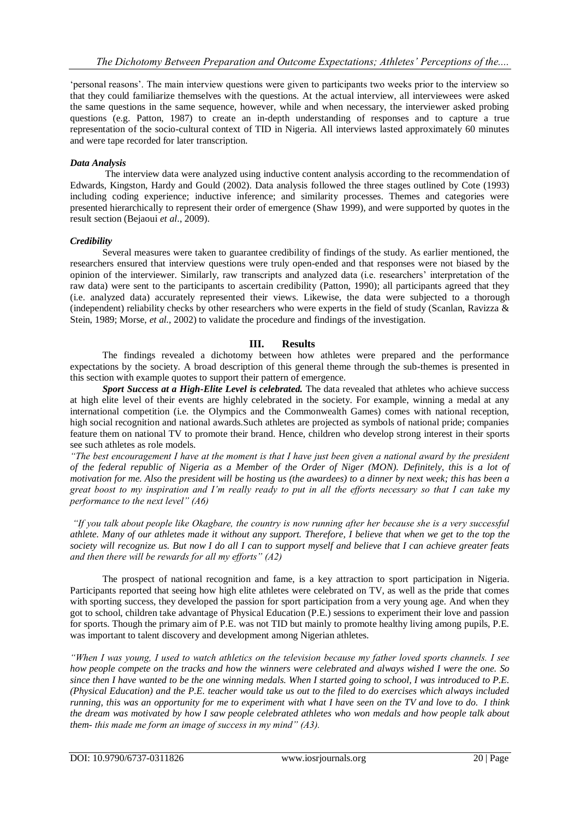'personal reasons'. The main interview questions were given to participants two weeks prior to the interview so that they could familiarize themselves with the questions. At the actual interview, all interviewees were asked the same questions in the same sequence, however, while and when necessary, the interviewer asked probing questions (e.g. Patton, 1987) to create an in-depth understanding of responses and to capture a true representation of the socio-cultural context of TID in Nigeria. All interviews lasted approximately 60 minutes and were tape recorded for later transcription.

### *Data Analysis*

The interview data were analyzed using inductive content analysis according to the recommendation of Edwards, Kingston, Hardy and Gould (2002). Data analysis followed the three stages outlined by Cote (1993) including coding experience; inductive inference; and similarity processes. Themes and categories were presented hierarchically to represent their order of emergence (Shaw 1999), and were supported by quotes in the result section (Bejaoui *et al*., 2009).

#### *Credibility*

Several measures were taken to guarantee credibility of findings of the study. As earlier mentioned, the researchers ensured that interview questions were truly open-ended and that responses were not biased by the opinion of the interviewer. Similarly, raw transcripts and analyzed data (i.e. researchers' interpretation of the raw data) were sent to the participants to ascertain credibility (Patton, 1990); all participants agreed that they (i.e. analyzed data) accurately represented their views. Likewise, the data were subjected to a thorough (independent) reliability checks by other researchers who were experts in the field of study (Scanlan, Ravizza  $\&$ Stein, 1989; Morse, *et al.*, 2002) to validate the procedure and findings of the investigation.

## **III. Results**

The findings revealed a dichotomy between how athletes were prepared and the performance expectations by the society. A broad description of this general theme through the sub-themes is presented in this section with example quotes to support their pattern of emergence.

*Sport Success at a High-Elite Level is celebrated.* The data revealed that athletes who achieve success at high elite level of their events are highly celebrated in the society. For example, winning a medal at any international competition (i.e. the Olympics and the Commonwealth Games) comes with national reception, high social recognition and national awards.Such athletes are projected as symbols of national pride; companies feature them on national TV to promote their brand. Hence, children who develop strong interest in their sports see such athletes as role models.

*"The best encouragement I have at the moment is that I have just been given a national award by the president of the federal republic of Nigeria as a Member of the Order of Niger (MON). Definitely, this is a lot of motivation for me. Also the president will be hosting us (the awardees) to a dinner by next week; this has been a great boost to my inspiration and I'm really ready to put in all the efforts necessary so that I can take my performance to the next level" (A6)*

*"If you talk about people like Okagbare, the country is now running after her because she is a very successful athlete. Many of our athletes made it without any support. Therefore, I believe that when we get to the top the society will recognize us. But now I do all I can to support myself and believe that I can achieve greater feats and then there will be rewards for all my efforts" (A2)*

The prospect of national recognition and fame, is a key attraction to sport participation in Nigeria. Participants reported that seeing how high elite athletes were celebrated on TV, as well as the pride that comes with sporting success, they developed the passion for sport participation from a very young age. And when they got to school, children take advantage of Physical Education (P.E.) sessions to experiment their love and passion for sports. Though the primary aim of P.E. was not TID but mainly to promote healthy living among pupils, P.E. was important to talent discovery and development among Nigerian athletes.

*"When I was young, I used to watch athletics on the television because my father loved sports channels. I see how people compete on the tracks and how the winners were celebrated and always wished I were the one. So since then I have wanted to be the one winning medals. When I started going to school, I was introduced to P.E. (Physical Education) and the P.E. teacher would take us out to the filed to do exercises which always included running, this was an opportunity for me to experiment with what I have seen on the TV and love to do. I think the dream was motivated by how I saw people celebrated athletes who won medals and how people talk about them- this made me form an image of success in my mind" (A3).*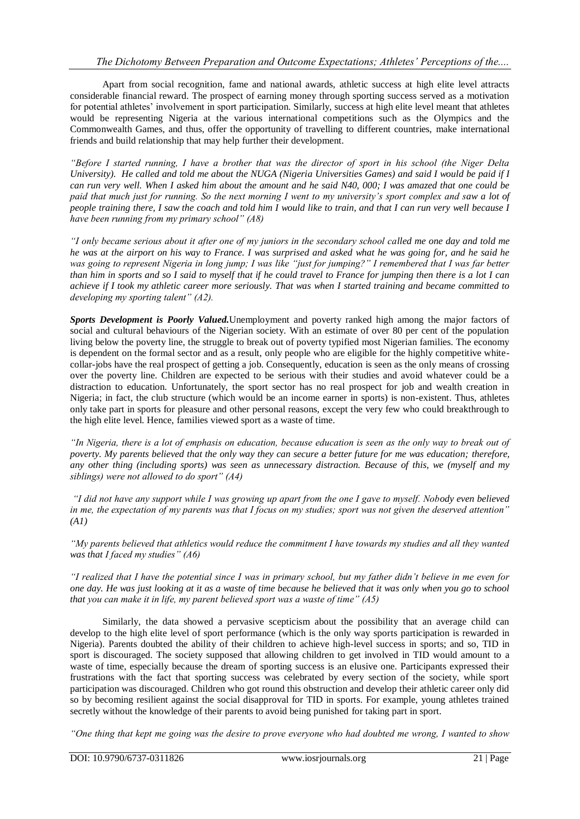Apart from social recognition, fame and national awards, athletic success at high elite level attracts considerable financial reward. The prospect of earning money through sporting success served as a motivation for potential athletes' involvement in sport participation. Similarly, success at high elite level meant that athletes would be representing Nigeria at the various international competitions such as the Olympics and the Commonwealth Games, and thus, offer the opportunity of travelling to different countries, make international friends and build relationship that may help further their development.

*"Before I started running, I have a brother that was the director of sport in his school (the Niger Delta University). He called and told me about the NUGA (Nigeria Universities Games) and said I would be paid if I can run very well. When I asked him about the amount and he said N40, 000; I was amazed that one could be paid that much just for running. So the next morning I went to my university's sport complex and saw a lot of people training there, I saw the coach and told him I would like to train, and that I can run very well because I have been running from my primary school" (A8)*

*"I only became serious about it after one of my juniors in the secondary school called me one day and told me he was at the airport on his way to France. I was surprised and asked what he was going for, and he said he*  was going to represent Nigeria in long jump; I was like "just for jumping?" I remembered that I was far better *than him in sports and so I said to myself that if he could travel to France for jumping then there is a lot I can achieve if I took my athletic career more seriously. That was when I started training and became committed to developing my sporting talent" (A2).* 

*Sports Development is Poorly Valued.*Unemployment and poverty ranked high among the major factors of social and cultural behaviours of the Nigerian society. With an estimate of over 80 per cent of the population living below the poverty line, the struggle to break out of poverty typified most Nigerian families. The economy is dependent on the formal sector and as a result, only people who are eligible for the highly competitive whitecollar-jobs have the real prospect of getting a job. Consequently, education is seen as the only means of crossing over the poverty line. Children are expected to be serious with their studies and avoid whatever could be a distraction to education. Unfortunately, the sport sector has no real prospect for job and wealth creation in Nigeria; in fact, the club structure (which would be an income earner in sports) is non-existent. Thus, athletes only take part in sports for pleasure and other personal reasons, except the very few who could breakthrough to the high elite level. Hence, families viewed sport as a waste of time.

*"In Nigeria, there is a lot of emphasis on education, because education is seen as the only way to break out of poverty. My parents believed that the only way they can secure a better future for me was education; therefore, any other thing (including sports) was seen as unnecessary distraction. Because of this, we (myself and my siblings) were not allowed to do sport" (A4)*

*"I did not have any support while I was growing up apart from the one I gave to myself. Nobody even believed in me, the expectation of my parents was that I focus on my studies; sport was not given the deserved attention" (A1)*

*"My parents believed that athletics would reduce the commitment I have towards my studies and all they wanted was that I faced my studies" (A6)*

*"I realized that I have the potential since I was in primary school, but my father didn't believe in me even for one day. He was just looking at it as a waste of time because he believed that it was only when you go to school that you can make it in life, my parent believed sport was a waste of time" (A5)*

Similarly, the data showed a pervasive scepticism about the possibility that an average child can develop to the high elite level of sport performance (which is the only way sports participation is rewarded in Nigeria). Parents doubted the ability of their children to achieve high-level success in sports; and so, TID in sport is discouraged. The society supposed that allowing children to get involved in TID would amount to a waste of time, especially because the dream of sporting success is an elusive one. Participants expressed their frustrations with the fact that sporting success was celebrated by every section of the society, while sport participation was discouraged. Children who got round this obstruction and develop their athletic career only did so by becoming resilient against the social disapproval for TID in sports. For example, young athletes trained secretly without the knowledge of their parents to avoid being punished for taking part in sport.

*"One thing that kept me going was the desire to prove everyone who had doubted me wrong, I wanted to show*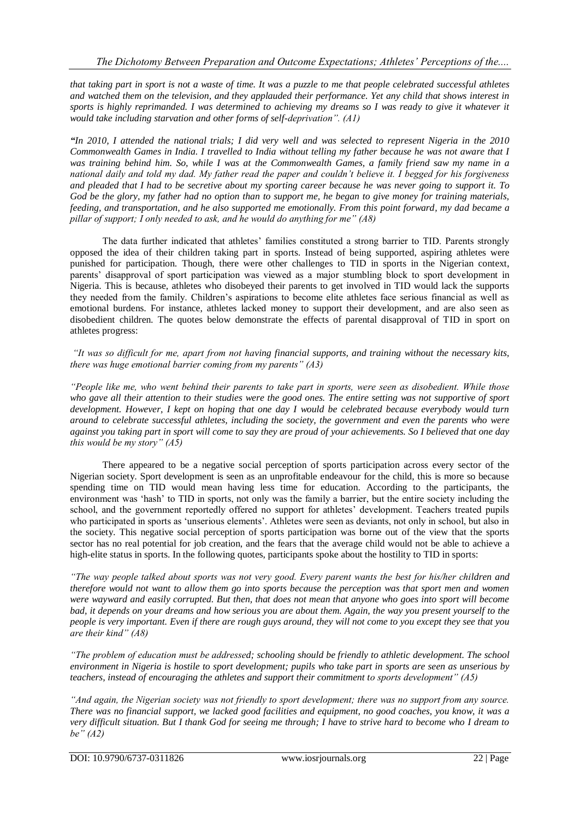*that taking part in sport is not a waste of time. It was a puzzle to me that people celebrated successful athletes and watched them on the television, and they applauded their performance. Yet any child that shows interest in sports is highly reprimanded. I was determined to achieving my dreams so I was ready to give it whatever it would take including starvation and other forms of self-deprivation". (A1)*

*"In 2010, I attended the national trials; I did very well and was selected to represent Nigeria in the 2010 Commonwealth Games in India. I travelled to India without telling my father because he was not aware that I was training behind him. So, while I was at the Commonwealth Games, a family friend saw my name in a national daily and told my dad. My father read the paper and couldn't believe it. I begged for his forgiveness and pleaded that I had to be secretive about my sporting career because he was never going to support it. To God be the glory, my father had no option than to support me, he began to give money for training materials, feeding, and transportation, and he also supported me emotionally. From this point forward, my dad became a pillar of support; I only needed to ask, and he would do anything for me" (A8)*

The data further indicated that athletes' families constituted a strong barrier to TID. Parents strongly opposed the idea of their children taking part in sports. Instead of being supported, aspiring athletes were punished for participation. Though, there were other challenges to TID in sports in the Nigerian context, parents' disapproval of sport participation was viewed as a major stumbling block to sport development in Nigeria. This is because, athletes who disobeyed their parents to get involved in TID would lack the supports they needed from the family. Children's aspirations to become elite athletes face serious financial as well as emotional burdens. For instance, athletes lacked money to support their development, and are also seen as disobedient children. The quotes below demonstrate the effects of parental disapproval of TID in sport on athletes progress:

*"It was so difficult for me, apart from not having financial supports, and training without the necessary kits, there was huge emotional barrier coming from my parents" (A3)*

*"People like me, who went behind their parents to take part in sports, were seen as disobedient. While those who gave all their attention to their studies were the good ones. The entire setting was not supportive of sport development. However, I kept on hoping that one day I would be celebrated because everybody would turn around to celebrate successful athletes, including the society, the government and even the parents who were against you taking part in sport will come to say they are proud of your achievements. So I believed that one day this would be my story" (A5)*

There appeared to be a negative social perception of sports participation across every sector of the Nigerian society. Sport development is seen as an unprofitable endeavour for the child, this is more so because spending time on TID would mean having less time for education. According to the participants, the environment was 'hash' to TID in sports, not only was the family a barrier, but the entire society including the school, and the government reportedly offered no support for athletes' development. Teachers treated pupils who participated in sports as 'unserious elements'. Athletes were seen as deviants, not only in school, but also in the society. This negative social perception of sports participation was borne out of the view that the sports sector has no real potential for job creation, and the fears that the average child would not be able to achieve a high-elite status in sports. In the following quotes, participants spoke about the hostility to TID in sports:

*"The way people talked about sports was not very good. Every parent wants the best for his/her children and therefore would not want to allow them go into sports because the perception was that sport men and women were wayward and easily corrupted. But then, that does not mean that anyone who goes into sport will become bad, it depends on your dreams and how serious you are about them. Again, the way you present yourself to the people is very important. Even if there are rough guys around, they will not come to you except they see that you are their kind" (A8)*

*"The problem of education must be addressed; schooling should be friendly to athletic development. The school environment in Nigeria is hostile to sport development; pupils who take part in sports are seen as unserious by teachers, instead of encouraging the athletes and support their commitment to sports development" (A5)*

*"And again, the Nigerian society was not friendly to sport development; there was no support from any source. There was no financial support, we lacked good facilities and equipment, no good coaches, you know, it was a very difficult situation. But I thank God for seeing me through; I have to strive hard to become who I dream to be" (A2)*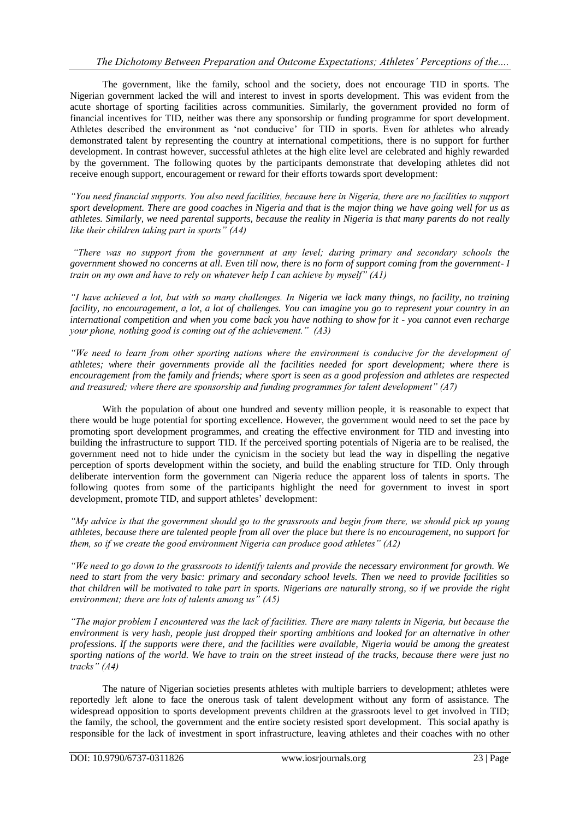The government, like the family, school and the society, does not encourage TID in sports. The Nigerian government lacked the will and interest to invest in sports development. This was evident from the acute shortage of sporting facilities across communities. Similarly, the government provided no form of financial incentives for TID, neither was there any sponsorship or funding programme for sport development. Athletes described the environment as 'not conducive' for TID in sports. Even for athletes who already demonstrated talent by representing the country at international competitions, there is no support for further development. In contrast however, successful athletes at the high elite level are celebrated and highly rewarded by the government. The following quotes by the participants demonstrate that developing athletes did not receive enough support, encouragement or reward for their efforts towards sport development:

*"You need financial supports. You also need facilities, because here in Nigeria, there are no facilities to support sport development. There are good coaches in Nigeria and that is the major thing we have going well for us as athletes. Similarly, we need parental supports, because the reality in Nigeria is that many parents do not really like their children taking part in sports" (A4)*

*"There was no support from the government at any level; during primary and secondary schools the government showed no concerns at all. Even till now, there is no form of support coming from the government- I train on my own and have to rely on whatever help I can achieve by myself" (A1)*

*"I have achieved a lot, but with so many challenges. In Nigeria we lack many things, no facility, no training facility, no encouragement, a lot, a lot of challenges. You can imagine you go to represent your country in an international competition and when you come back you have nothing to show for it - you cannot even recharge your phone, nothing good is coming out of the achievement." (A3)*

*"We need to learn from other sporting nations where the environment is conducive for the development of athletes; where their governments provide all the facilities needed for sport development; where there is encouragement from the family and friends; where sport is seen as a good profession and athletes are respected and treasured; where there are sponsorship and funding programmes for talent development" (A7)*

With the population of about one hundred and seventy million people, it is reasonable to expect that there would be huge potential for sporting excellence. However, the government would need to set the pace by promoting sport development programmes, and creating the effective environment for TID and investing into building the infrastructure to support TID. If the perceived sporting potentials of Nigeria are to be realised, the government need not to hide under the cynicism in the society but lead the way in dispelling the negative perception of sports development within the society, and build the enabling structure for TID. Only through deliberate intervention form the government can Nigeria reduce the apparent loss of talents in sports. The following quotes from some of the participants highlight the need for government to invest in sport development, promote TID, and support athletes' development:

*"My advice is that the government should go to the grassroots and begin from there, we should pick up young athletes, because there are talented people from all over the place but there is no encouragement, no support for them, so if we create the good environment Nigeria can produce good athletes" (A2)*

*"We need to go down to the grassroots to identify talents and provide the necessary environment for growth. We need to start from the very basic: primary and secondary school levels. Then we need to provide facilities so that children will be motivated to take part in sports. Nigerians are naturally strong, so if we provide the right environment; there are lots of talents among us" (A5)*

*"The major problem I encountered was the lack of facilities. There are many talents in Nigeria, but because the environment is very hash, people just dropped their sporting ambitions and looked for an alternative in other professions. If the supports were there, and the facilities were available, Nigeria would be among the greatest sporting nations of the world. We have to train on the street instead of the tracks, because there were just no tracks" (A4)*

The nature of Nigerian societies presents athletes with multiple barriers to development; athletes were reportedly left alone to face the onerous task of talent development without any form of assistance. The widespread opposition to sports development prevents children at the grassroots level to get involved in TID; the family, the school, the government and the entire society resisted sport development. This social apathy is responsible for the lack of investment in sport infrastructure, leaving athletes and their coaches with no other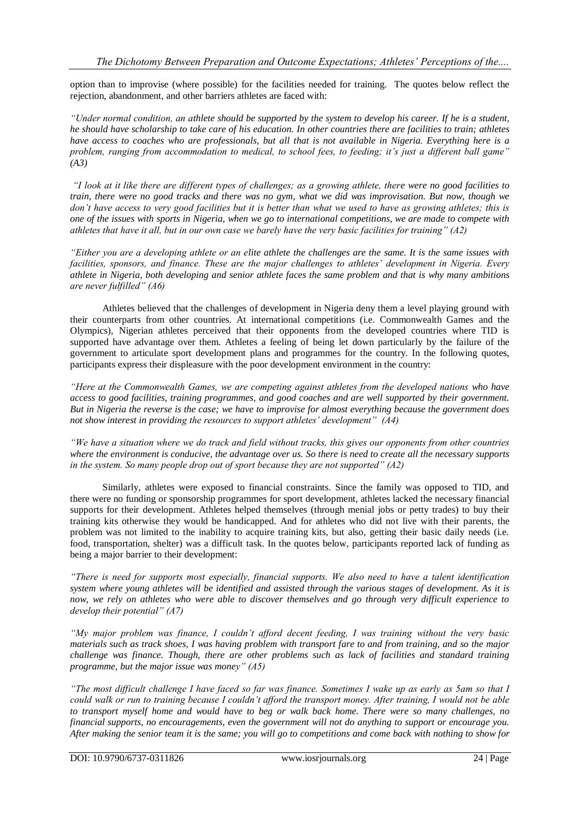option than to improvise (where possible) for the facilities needed for training. The quotes below reflect the rejection, abandonment, and other barriers athletes are faced with:

*"Under normal condition, an athlete should be supported by the system to develop his career. If he is a student, he should have scholarship to take care of his education. In other countries there are facilities to train; athletes have access to coaches who are professionals, but all that is not available in Nigeria. Everything here is a problem, ranging from accommodation to medical, to school fees, to feeding; it's just a different ball game" (A3)*

*"I look at it like there are different types of challenges; as a growing athlete, there were no good facilities to train, there were no good tracks and there was no gym, what we did was improvisation. But now, though we*  don't have access to very good facilities but it is better than what we used to have as growing athletes; this is *one of the issues with sports in Nigeria, when we go to international competitions, we are made to compete with athletes that have it all, but in our own case we barely have the very basic facilities for training" (A2)*

*"Either you are a developing athlete or an elite athlete the challenges are the same. It is the same issues with facilities, sponsors, and finance. These are the major challenges to athletes' development in Nigeria. Every athlete in Nigeria, both developing and senior athlete faces the same problem and that is why many ambitions are never fulfilled" (A6)*

Athletes believed that the challenges of development in Nigeria deny them a level playing ground with their counterparts from other countries. At international competitions (i.e. Commonwealth Games and the Olympics), Nigerian athletes perceived that their opponents from the developed countries where TID is supported have advantage over them. Athletes a feeling of being let down particularly by the failure of the government to articulate sport development plans and programmes for the country. In the following quotes, participants express their displeasure with the poor development environment in the country:

*"Here at the Commonwealth Games, we are competing against athletes from the developed nations who have access to good facilities, training programmes, and good coaches and are well supported by their government. But in Nigeria the reverse is the case; we have to improvise for almost everything because the government does not show interest in providing the resources to support athletes' development" (A4)*

*"We have a situation where we do track and field without tracks, this gives our opponents from other countries where the environment is conducive, the advantage over us. So there is need to create all the necessary supports in the system. So many people drop out of sport because they are not supported" (A2)*

Similarly, athletes were exposed to financial constraints. Since the family was opposed to TID, and there were no funding or sponsorship programmes for sport development, athletes lacked the necessary financial supports for their development. Athletes helped themselves (through menial jobs or petty trades) to buy their training kits otherwise they would be handicapped. And for athletes who did not live with their parents, the problem was not limited to the inability to acquire training kits, but also, getting their basic daily needs (i.e. food, transportation, shelter) was a difficult task. In the quotes below, participants reported lack of funding as being a major barrier to their development:

*"There is need for supports most especially, financial supports. We also need to have a talent identification system where young athletes will be identified and assisted through the various stages of development. As it is now, we rely on athletes who were able to discover themselves and go through very difficult experience to develop their potential" (A7)*

*"My major problem was finance, I couldn't afford decent feeding, I was training without the very basic materials such as track shoes, I was having problem with transport fare to and from training, and so the major challenge was finance. Though, there are other problems such as lack of facilities and standard training programme, but the major issue was money" (A5)*

*"The most difficult challenge I have faced so far was finance. Sometimes I wake up as early as 5am so that I could walk or run to training because I couldn't afford the transport money. After training, I would not be able to transport myself home and would have to beg or walk back home. There were so many challenges, no financial supports, no encouragements, even the government will not do anything to support or encourage you. After making the senior team it is the same; you will go to competitions and come back with nothing to show for*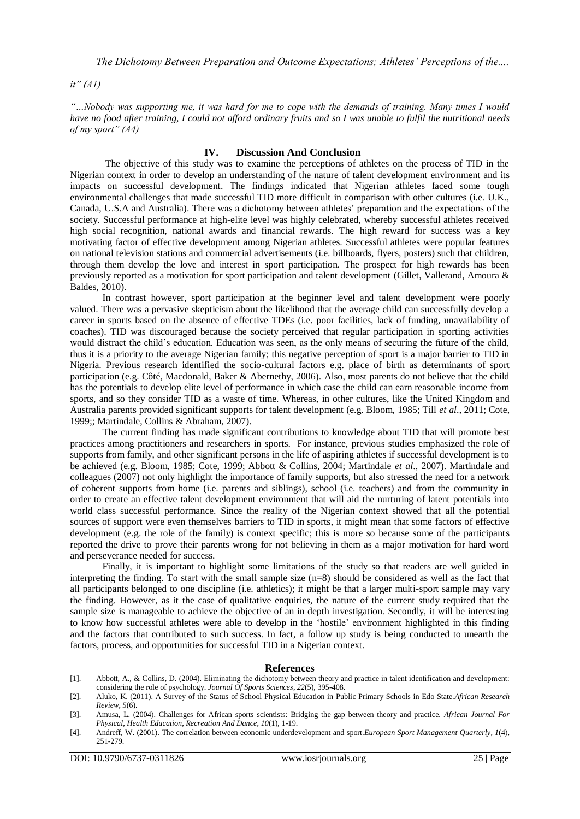#### *it" (A1)*

*"…Nobody was supporting me, it was hard for me to cope with the demands of training. Many times I would have no food after training, I could not afford ordinary fruits and so I was unable to fulfil the nutritional needs of my sport" (A4)*

#### **IV. Discussion And Conclusion**

The objective of this study was to examine the perceptions of athletes on the process of TID in the Nigerian context in order to develop an understanding of the nature of talent development environment and its impacts on successful development. The findings indicated that Nigerian athletes faced some tough environmental challenges that made successful TID more difficult in comparison with other cultures (i.e. U.K., Canada, U.S.A and Australia). There was a dichotomy between athletes' preparation and the expectations of the society. Successful performance at high-elite level was highly celebrated, whereby successful athletes received high social recognition, national awards and financial rewards. The high reward for success was a key motivating factor of effective development among Nigerian athletes. Successful athletes were popular features on national television stations and commercial advertisements (i.e. billboards, flyers, posters) such that children, through them develop the love and interest in sport participation. The prospect for high rewards has been previously reported as a motivation for sport participation and talent development (Gillet, Vallerand, Amoura & Baldes, 2010).

In contrast however, sport participation at the beginner level and talent development were poorly valued. There was a pervasive skepticism about the likelihood that the average child can successfully develop a career in sports based on the absence of effective TDEs (i.e. poor facilities, lack of funding, unavailability of coaches). TID was discouraged because the society perceived that regular participation in sporting activities would distract the child's education. Education was seen, as the only means of securing the future of the child, thus it is a priority to the average Nigerian family; this negative perception of sport is a major barrier to TID in Nigeria. Previous research identified the socio-cultural factors e.g. place of birth as determinants of sport participation (e.g. Côté, Macdonald, Baker & Abernethy, 2006). Also, most parents do not believe that the child has the potentials to develop elite level of performance in which case the child can earn reasonable income from sports, and so they consider TID as a waste of time. Whereas, in other cultures, like the United Kingdom and Australia parents provided significant supports for talent development (e.g. Bloom, 1985; Till *et al*., 2011; Cote, 1999;; Martindale, Collins & Abraham, 2007).

The current finding has made significant contributions to knowledge about TID that will promote best practices among practitioners and researchers in sports. For instance, previous studies emphasized the role of supports from family, and other significant persons in the life of aspiring athletes if successful development is to be achieved (e.g. Bloom, 1985; Cote, 1999; Abbott & Collins, 2004; Martindale *et al*., 2007). Martindale and colleagues (2007) not only highlight the importance of family supports, but also stressed the need for a network of coherent supports from home (i.e. parents and siblings), school (i.e. teachers) and from the community in order to create an effective talent development environment that will aid the nurturing of latent potentials into world class successful performance. Since the reality of the Nigerian context showed that all the potential sources of support were even themselves barriers to TID in sports, it might mean that some factors of effective development (e.g. the role of the family) is context specific; this is more so because some of the participants reported the drive to prove their parents wrong for not believing in them as a major motivation for hard word and perseverance needed for success.

Finally, it is important to highlight some limitations of the study so that readers are well guided in interpreting the finding. To start with the small sample size (n=8) should be considered as well as the fact that all participants belonged to one discipline (i.e. athletics); it might be that a larger multi-sport sample may vary the finding. However, as it the case of qualitative enquiries, the nature of the current study required that the sample size is manageable to achieve the objective of an in depth investigation. Secondly, it will be interesting to know how successful athletes were able to develop in the 'hostile' environment highlighted in this finding and the factors that contributed to such success. In fact, a follow up study is being conducted to unearth the factors, process, and opportunities for successful TID in a Nigerian context.

#### **References**

- [1]. Abbott, A., & Collins, D. (2004). Eliminating the dichotomy between theory and practice in talent identification and development: considering the role of psychology. *Journal Of Sports Sciences*, *22*(5), 395-408.
- [2]. Aluko, K. (2011). A Survey of the Status of School Physical Education in Public Primary Schools in Edo State.*African Research Review*, *5*(6).
- [3]. Amusa, L. (2004). Challenges for African sports scientists: Bridging the gap between theory and practice. *African Journal For Physical, Health Education, Recreation And Dance*, *10*(1), 1-19.
- [4]. Andreff, W. (2001). The correlation between economic underdevelopment and sport.*European Sport Management Quarterly*, *1*(4), 251-279.